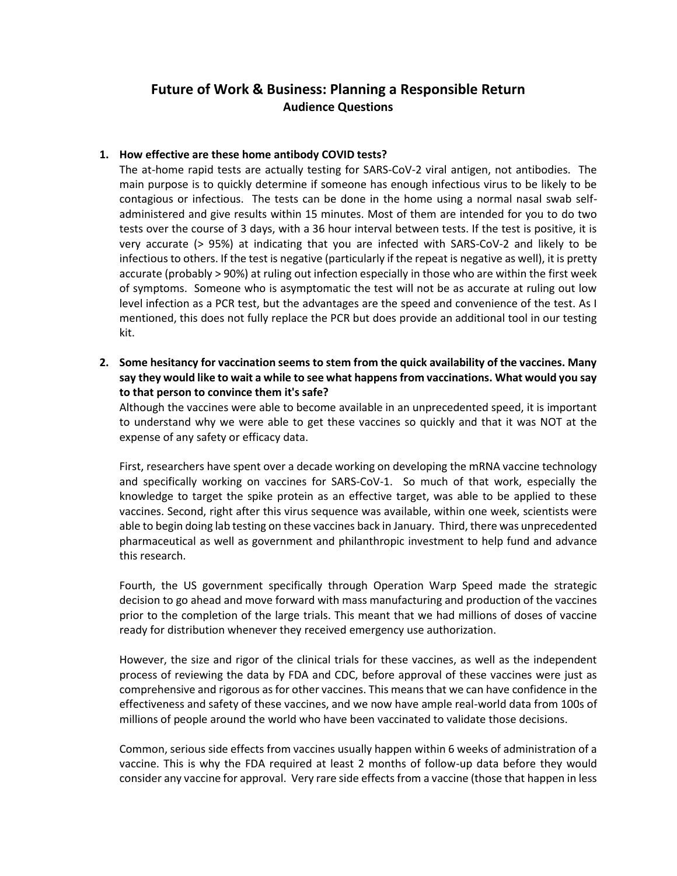# **Future of Work & Business: Planning a Responsible Return Audience Questions**

## **1. How effective are these home antibody COVID tests?**

The at-home rapid tests are actually testing for SARS-CoV-2 viral antigen, not antibodies. The main purpose is to quickly determine if someone has enough infectious virus to be likely to be contagious or infectious. The tests can be done in the home using a normal nasal swab selfadministered and give results within 15 minutes. Most of them are intended for you to do two tests over the course of 3 days, with a 36 hour interval between tests. If the test is positive, it is very accurate (> 95%) at indicating that you are infected with SARS-CoV-2 and likely to be infectious to others. If the test is negative (particularly if the repeat is negative as well), it is pretty accurate (probably > 90%) at ruling out infection especially in those who are within the first week of symptoms. Someone who is asymptomatic the test will not be as accurate at ruling out low level infection as a PCR test, but the advantages are the speed and convenience of the test. As I mentioned, this does not fully replace the PCR but does provide an additional tool in our testing kit.

**2. Some hesitancy for vaccination seems to stem from the quick availability of the vaccines. Many say they would like to wait a while to see what happens from vaccinations. What would you say to that person to convince them it's safe?** 

Although the vaccines were able to become available in an unprecedented speed, it is important to understand why we were able to get these vaccines so quickly and that it was NOT at the expense of any safety or efficacy data.

First, researchers have spent over a decade working on developing the mRNA vaccine technology and specifically working on vaccines for SARS-CoV-1. So much of that work, especially the knowledge to target the spike protein as an effective target, was able to be applied to these vaccines. Second, right after this virus sequence was available, within one week, scientists were able to begin doing lab testing on these vaccines back in January. Third, there was unprecedented pharmaceutical as well as government and philanthropic investment to help fund and advance this research.

Fourth, the US government specifically through Operation Warp Speed made the strategic decision to go ahead and move forward with mass manufacturing and production of the vaccines prior to the completion of the large trials. This meant that we had millions of doses of vaccine ready for distribution whenever they received emergency use authorization.

However, the size and rigor of the clinical trials for these vaccines, as well as the independent process of reviewing the data by FDA and CDC, before approval of these vaccines were just as comprehensive and rigorous as for other vaccines. This means that we can have confidence in the effectiveness and safety of these vaccines, and we now have ample real-world data from 100s of millions of people around the world who have been vaccinated to validate those decisions.

Common, serious side effects from vaccines usually happen within 6 weeks of administration of a vaccine. This is why the FDA required at least 2 months of follow-up data before they would consider any vaccine for approval. Very rare side effects from a vaccine (those that happen in less